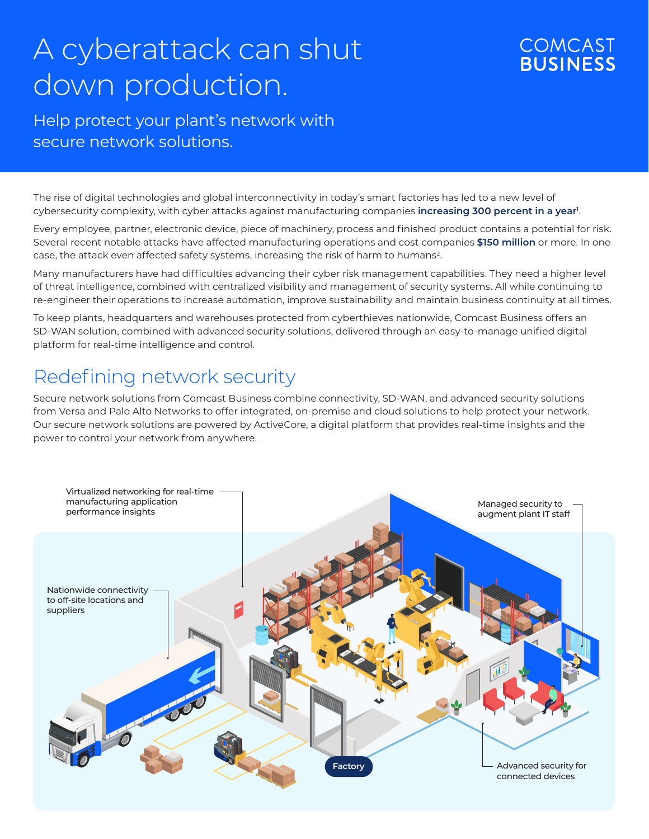# A cyberattack can shut down production.

### **COMCAST BUSINESS**

### Help protect your plant's network with secure network solutions.

The rise of digital technologies and global interconnectivity in today's smart factories has led to a new level of cybersecurity complexity, with cyber attacks against manufacturing companies **increasing 300 percent in a year**<sup>1</sup>.

Every employee, partner, electronic device, piece of machinery, process and finished product contains a potential for risk. Several recent notable attacks have affected manufacturing operations and cost companies **\$150 million** or more. In one case, the attack even affected safety systems, increasing the risk of harm to humans<sup>2</sup>.

Many manufacturers have had difficulties advancing their cyber risk management capabilities. They need a higher level of threat intelligence, combined with centralized visibility and management of security systems. All while continuing to re-engineer their operations to increase automation, improve sustainability and maintain business continuity at all times.

To keep plants, headquarters and warehouses protected from cyberthieves nationwide, Comcast Business offers an SD-WAN solution, combined with advanced security solutions, delivered through an easy-to-manage unified digital platform for real-time intelligence and control.

# Redefining network security

Secure network solutions from Comcast Business combine connectivity, SD-WAN, and advanced security solutions from Versa and Palo Alto Networks to offer integrated, on-premise and cloud solutions to help protect your network. Our secure network solutions are powered by ActiveCore, a digital platform that provides real-time insights and the power to control your network from anywhere.